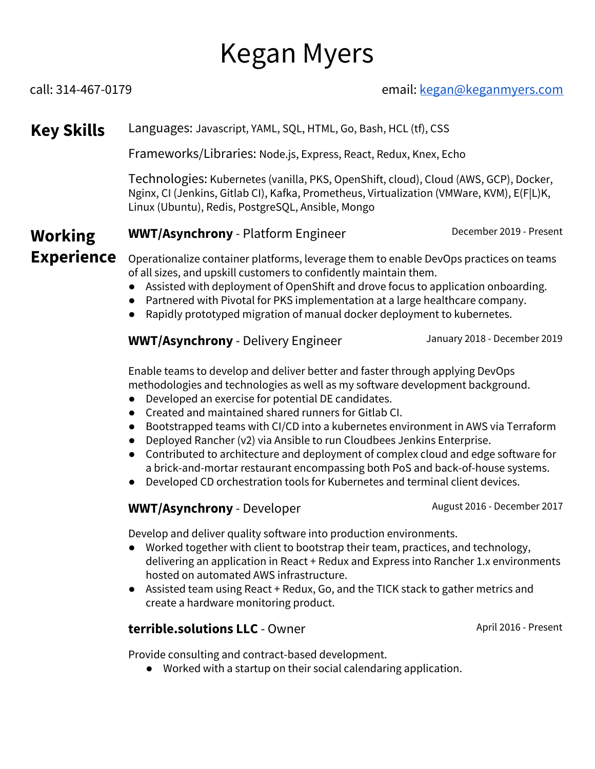# Kegan Myers

#### call: 314-467-0179 email: [kegan@keganmyers.com](mailto:kegan@keganmyers.com)

## **Key Skills** Languages: Javascript, YAML, SQL, HTML, Go, Bash, HCL (tf), CSS

Frameworks/Libraries: Node.js, Express, React, Redux, Knex, Echo

Technologies: Kubernetes (vanilla, PKS, OpenShift, cloud), Cloud (AWS, GCP), Docker, Nginx, CI (Jenkins, Gitlab CI), Kafka, Prometheus, Virtualization (VMWare, KVM), E(F|L)K, Linux (Ubuntu), Redis, PostgreSQL, Ansible, Mongo

#### **Working WWT/Asynchrony** - Platform Engineer **December 2019** - Present

**Experience** Operationalize container platforms, leverage them to enable DevOps practices on teams of all sizes, and upskill customers to confidently maintain them.

- Assisted with deployment of OpenShift and drove focus to application onboarding.
- Partnered with Pivotal for PKS implementation at a large healthcare company.
- Rapidly prototyped migration of manual docker deployment to kubernetes.

#### **WWT/Asynchrony** - Delivery Engineer January 2018 - December 2019

Enable teams to develop and deliver better and faster through applying DevOps methodologies and technologies as well as my software development background.

- Developed an exercise for potential DE candidates.
- Created and maintained shared runners for Gitlab CI.
- Bootstrapped teams with CI/CD into a kubernetes environment in AWS via Terraform
- Deployed Rancher (v2) via Ansible to run Cloudbees Jenkins Enterprise.
- Contributed to architecture and deployment of complex cloud and edge software for a brick-and-mortar restaurant encompassing both PoS and back-of-house systems.
- Developed CD orchestration tools for Kubernetes and terminal client devices.

#### **WWT/Asynchrony** - Developer **August 2016 - December 2017**

Develop and deliver quality software into production environments.

- Worked together with client to bootstrap their team, practices, and technology, delivering an application in React + Redux and Express into Rancher 1.x environments hosted on automated AWS infrastructure.
- Assisted team using React + Redux, Go, and the TICK stack to gather metrics and create a hardware monitoring product.

#### **terrible.solutions LLC** - Owner April 2016 - Present

Provide consulting and contract-based development.

● Worked with a startup on their social calendaring application.